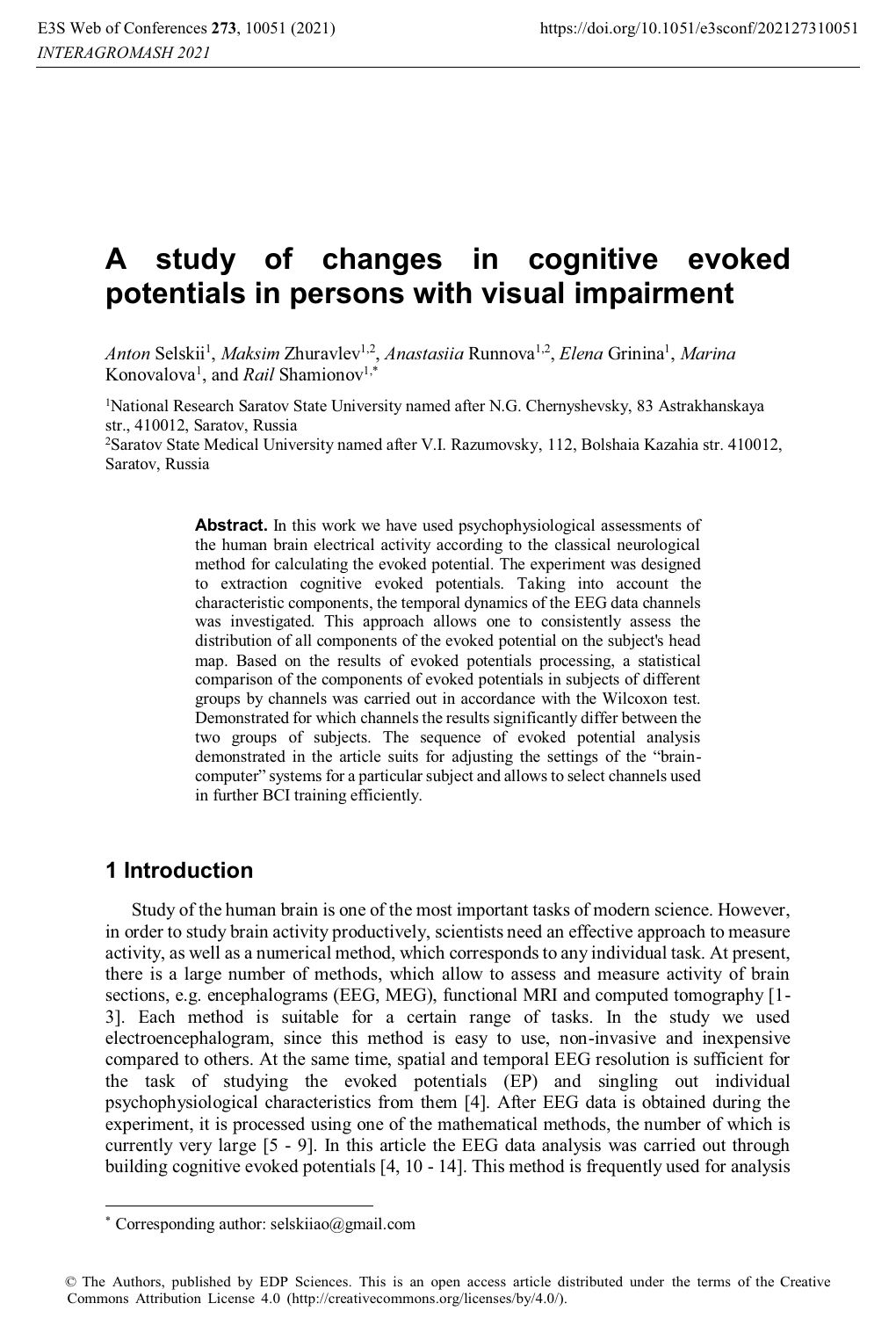# **A study of changes in cognitive evoked potentials in persons with visual impairment**

Anton Selskii<sup>1</sup>, *Maksim* Zhuravlev<sup>1,2</sup>,<br>Konovalova<sup>1</sup>, and *Rail* Shamionov<sup>1,\*</sup> , *Maksim Z*huravlev<sup>1,2</sup>, *Anastasiia* Runnova<sup>1,2</sup>, *Elena* Grinina<sup>1</sup>, *Marina*<br>and *Rail* Shamionov<sup>1,\*</sup>

1 National Research Saratov State University named after N.G. Chernyshevsky, 83 Astrakhanskaya str., 410012, Saratov, Russia

2 Saratov State Medical University named after V.I. Razumovsky, 112, Bolshaia Kazahia str. 410012, Saratov, Russia

> Abstract. In this work we have used psychophysiological assessments of the human brain electrical activity according to the classical neurological method for calculating the evoked potential. The experiment was designed to extraction cognitive evoked potentials. Taking into account the characteristic components, the temporal dynamics of the EEG data channels was investigated. This approach allows one to consistently assess the distribution of all components of the evoked potential on the subject's head map. Based on the results of evoked potentials processing, a statistical comparison of the components of evoked potentials in subjects of different groups by channels was carried out in accordance with the Wilcoxon test. Demonstrated for which channels the results significantly differ between the two groups of subjects. The sequence of evoked potential analysis demonstrated in the article suits for adjusting the settings of the "braincomputer" systems for a particular subject and allows to select channels used in further BCI training efficiently.

## **1 Introduction**

 $\overline{a}$ 

Study of the human brain is one of the most important tasks of modern science. However, in order to study brain activity productively, scientists need an effective approach to measure activity, as well as a numerical method, which corresponds to any individual task. At present, there is a large number of methods, which allow to assess and measure activity of brain sections, e.g. encephalograms (EEG, MEG), functional MRI and computed tomography [1-3]. Each method is suitable for a certain range of tasks. In the study we used electroencephalogram, since this method is easy to use, non-invasive and inexpensive compared to others. At the same time, spatial and temporal EEG resolution is sufficient for the task of studying the evoked potentials (EP) and singling out individual psychophysiological characteristics from them [4]. After EEG data is obtained during the experiment, it is processed using one of the mathematical methods, the number of which is currently very large [5 - 9]. In this article the EEG data analysis was carried out through building cognitive evoked potentials [4, 10 - 14]. This method is frequently used for analysis

<sup>\*</sup> Corresponding author: selskiiao@gmail.com

<sup>©</sup> The Authors, published by EDP Sciences. This is an open access article distributed under the terms of the Creative Commons Attribution License 4.0 (http://creativecommons.org/licenses/by/4.0/).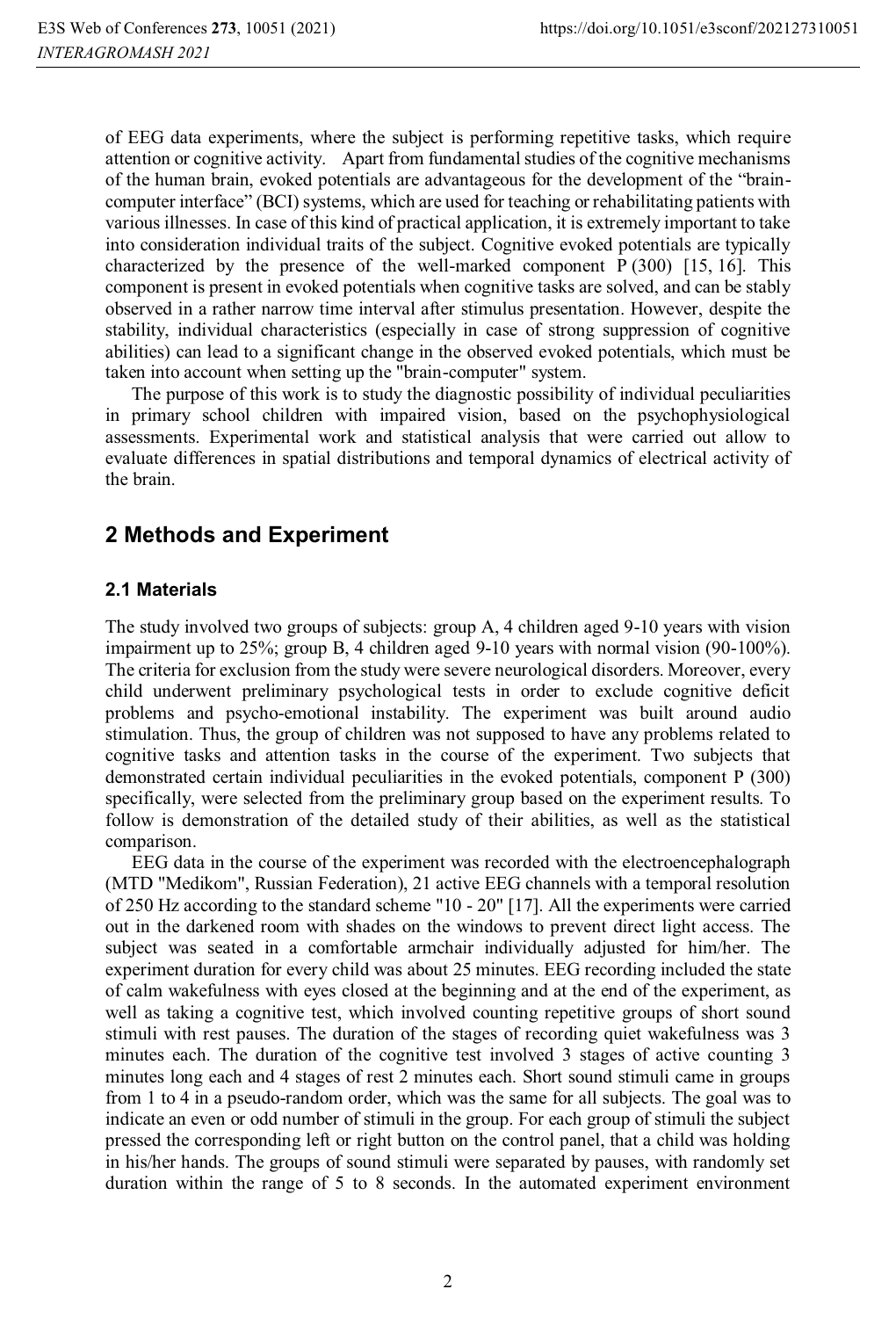of EEG data experiments, where the subject is performing repetitive tasks, which require attention or cognitive activity. Apart from fundamental studies of the cognitive mechanisms of the human brain, evoked potentials are advantageous for the development of the "braincomputer interface" (BCI) systems, which are used for teaching or rehabilitating patients with various illnesses. In case of this kind of practical application, it is extremely important to take into consideration individual traits of the subject. Cognitive evoked potentials are typically characterized by the presence of the well-marked component  $P(300)$  [15, 16]. This component is present in evoked potentials when cognitive tasks are solved, and can be stably observed in a rather narrow time interval after stimulus presentation. However, despite the stability, individual characteristics (especially in case of strong suppression of cognitive abilities) can lead to a significant change in the observed evoked potentials, which must be taken into account when setting up the "brain-computer" system.

The purpose of this work is to study the diagnostic possibility of individual peculiarities in primary school children with impaired vision, based on the psychophysiological assessments. Experimental work and statistical analysis that were carried out allow to evaluate differences in spatial distributions and temporal dynamics of electrical activity of the brain.

## **2 Methods and Experiment**

#### **2.1 Materials**

The study involved two groups of subjects: group A, 4 children aged 9-10 years with vision impairment up to 25%; group B, 4 children aged 9-10 years with normal vision (90-100%). The criteria for exclusion from the study were severe neurological disorders. Moreover, every child underwent preliminary psychological tests in order to exclude cognitive deficit problems and psycho-emotional instability. The experiment was built around audio stimulation. Thus, the group of children was not supposed to have any problems related to cognitive tasks and attention tasks in the course of the experiment. Two subjects that demonstrated certain individual peculiarities in the evoked potentials, component P (300) specifically, were selected from the preliminary group based on the experiment results. To follow is demonstration of the detailed study of their abilities, as well as the statistical comparison.

EEG data in the course of the experiment was recorded with the electroencephalograph (MTD "Medikom", Russian Federation), 21 active EEG channels with a temporal resolution of 250 Hz according to the standard scheme "10 - 20" [17]. All the experiments were carried out in the darkened room with shades on the windows to prevent direct light access. The subject was seated in a comfortable armchair individually adjusted for him/her. The experiment duration for every child was about 25 minutes. EEG recording included the state of calm wakefulness with eyes closed at the beginning and at the end of the experiment, as well as taking a cognitive test, which involved counting repetitive groups of short sound stimuli with rest pauses. The duration of the stages of recording quiet wakefulness was 3 minutes each. The duration of the cognitive test involved 3 stages of active counting 3 minutes long each and 4 stages of rest 2 minutes each. Short sound stimuli came in groups from 1 to 4 in a pseudo-random order, which was the same for all subjects. The goal was to indicate an even or odd number of stimuli in the group. For each group of stimuli the subject pressed the corresponding left or right button on the control panel, that a child was holding in his/her hands. The groups of sound stimuli were separated by pauses, with randomly set duration within the range of 5 to 8 seconds. In the automated experiment environment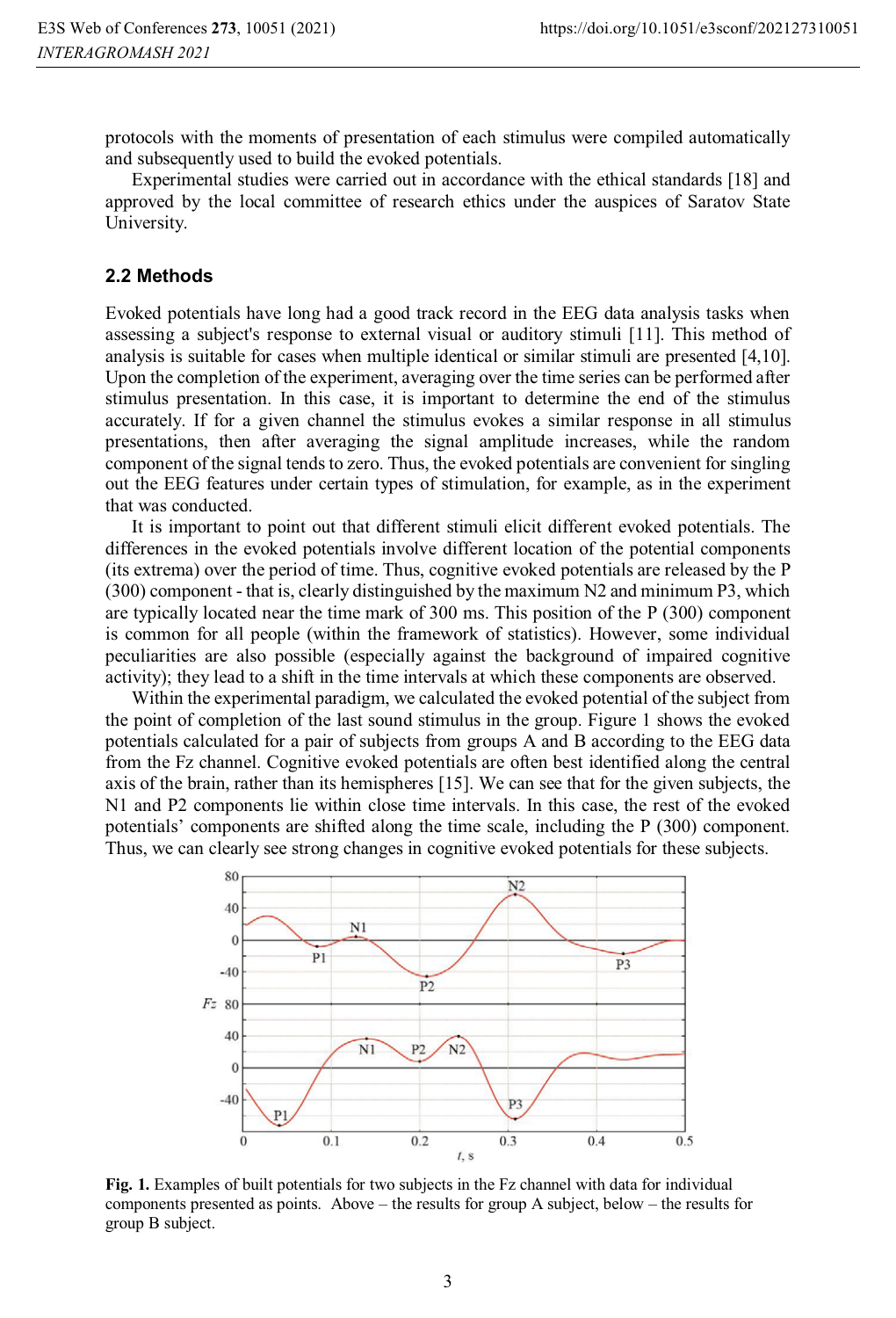protocols with the moments of presentation of each stimulus were compiled automatically and subsequently used to build the evoked potentials.

Experimental studies were carried out in accordance with the ethical standards [18] and approved by the local committee of research ethics under the auspices of Saratov State University.

#### **2.2 Methods**

Evoked potentials have long had a good track record in the EEG data analysis tasks when assessing a subject's response to external visual or auditory stimuli [11]. This method of analysis is suitable for cases when multiple identical or similar stimuli are presented [4,10]. Upon the completion of the experiment, averaging over the time series can be performed after stimulus presentation. In this case, it is important to determine the end of the stimulus accurately. If for a given channel the stimulus evokes a similar response in all stimulus presentations, then after averaging the signal amplitude increases, while the random component of the signal tends to zero. Thus, the evoked potentials are convenient for singling out the EEG features under certain types of stimulation, for example, as in the experiment that was conducted.

It is important to point out that different stimuli elicit different evoked potentials. The differences in the evoked potentials involve different location of the potential components (its extrema) over the period of time. Thus, cognitive evoked potentials are released by the P (300) component - that is, clearly distinguished by the maximum N2 and minimum P3, which are typically located near the time mark of 300 ms. This position of the P (300) component is common for all people (within the framework of statistics). However, some individual peculiarities are also possible (especially against the background of impaired cognitive activity); they lead to a shift in the time intervals at which these components are observed.

Within the experimental paradigm, we calculated the evoked potential of the subject from the point of completion of the last sound stimulus in the group. Figure 1 shows the evoked potentials calculated for a pair of subjects from groups A and B according to the EEG data from the Fz channel. Cognitive evoked potentials are often best identified along the central axis of the brain, rather than its hemispheres [15]. We can see that for the given subjects, the N1 and P2 components lie within close time intervals. In this case, the rest of the evoked potentials' components are shifted along the time scale, including the P (300) component. Thus, we can clearly see strong changes in cognitive evoked potentials for these subjects.



**Fig. 1.** Examples of built potentials for two subjects in the Fz channel with data for individual components presented as points. Above – the results for group A subject, below – the results for group B subject.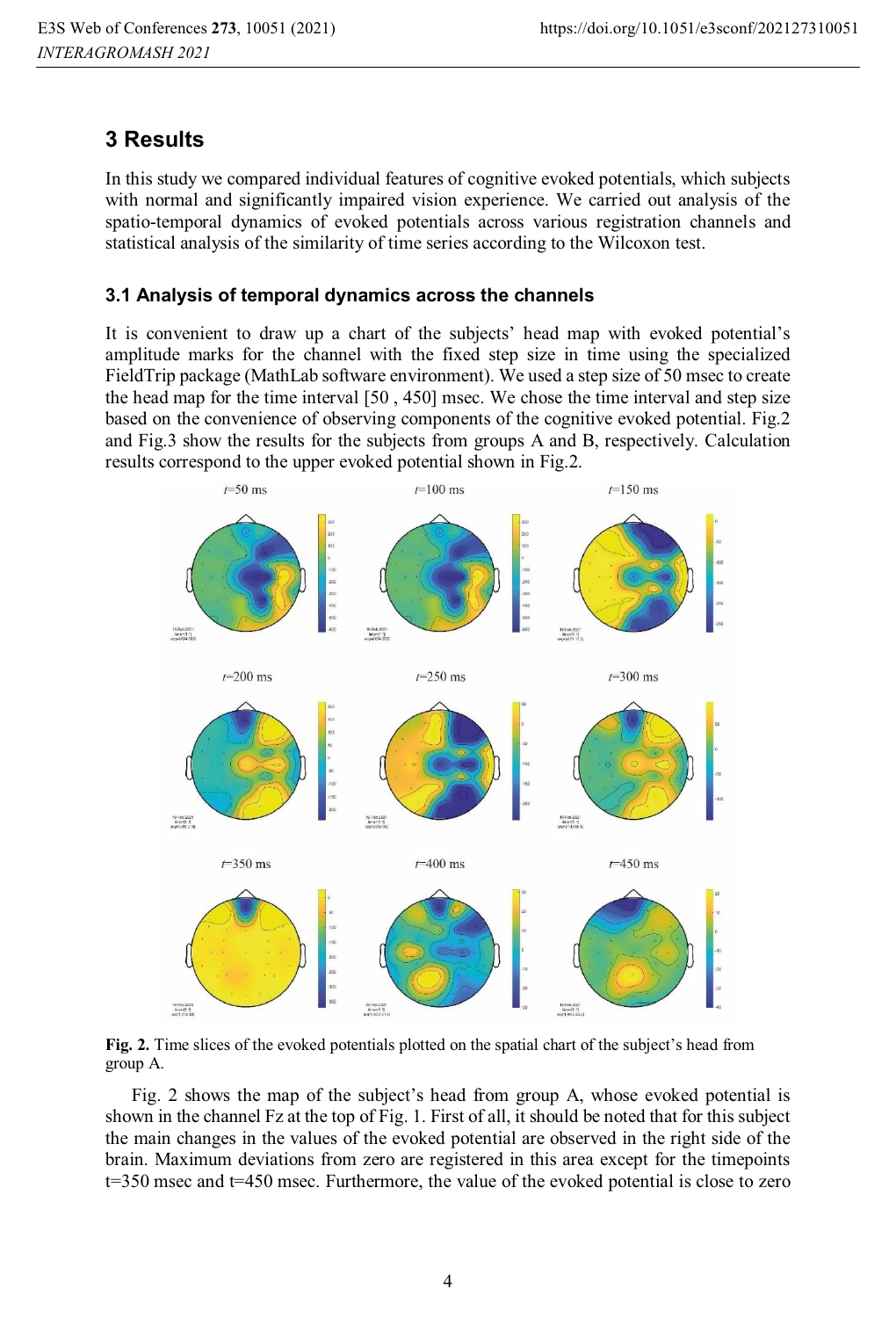# **3 Results**

In this study we compared individual features of cognitive evoked potentials, which subjects with normal and significantly impaired vision experience. We carried out analysis of the spatio-temporal dynamics of evoked potentials across various registration channels and statistical analysis of the similarity of time series according to the Wilcoxon test.

## **3.1 Analysis of temporal dynamics across the channels**

It is convenient to draw up a chart of the subjects' head map with evoked potential's amplitude marks for the channel with the fixed step size in time using the specialized FieldTrip package (MathLab software environment). We used a step size of 50 msec to create the head map for the time interval [50 , 450] msec. We chose the time interval and step size based on the convenience of observing components of the cognitive evoked potential. Fig.2 and Fig.3 show the results for the subjects from groups A and B, respectively. Calculation results correspond to the upper evoked potential shown in Fig.2.



**Fig. 2.** Time slices of the evoked potentials plotted on the spatial chart of the subject's head from group A.

Fig. 2 shows the map of the subject's head from group A, whose evoked potential is shown in the channel Fz at the top of Fig. 1. First of all, it should be noted that for this subject the main changes in the values of the evoked potential are observed in the right side of the brain. Maximum deviations from zero are registered in this area except for the timepoints t=350 msec and t=450 msec. Furthermore, the value of the evoked potential is close to zero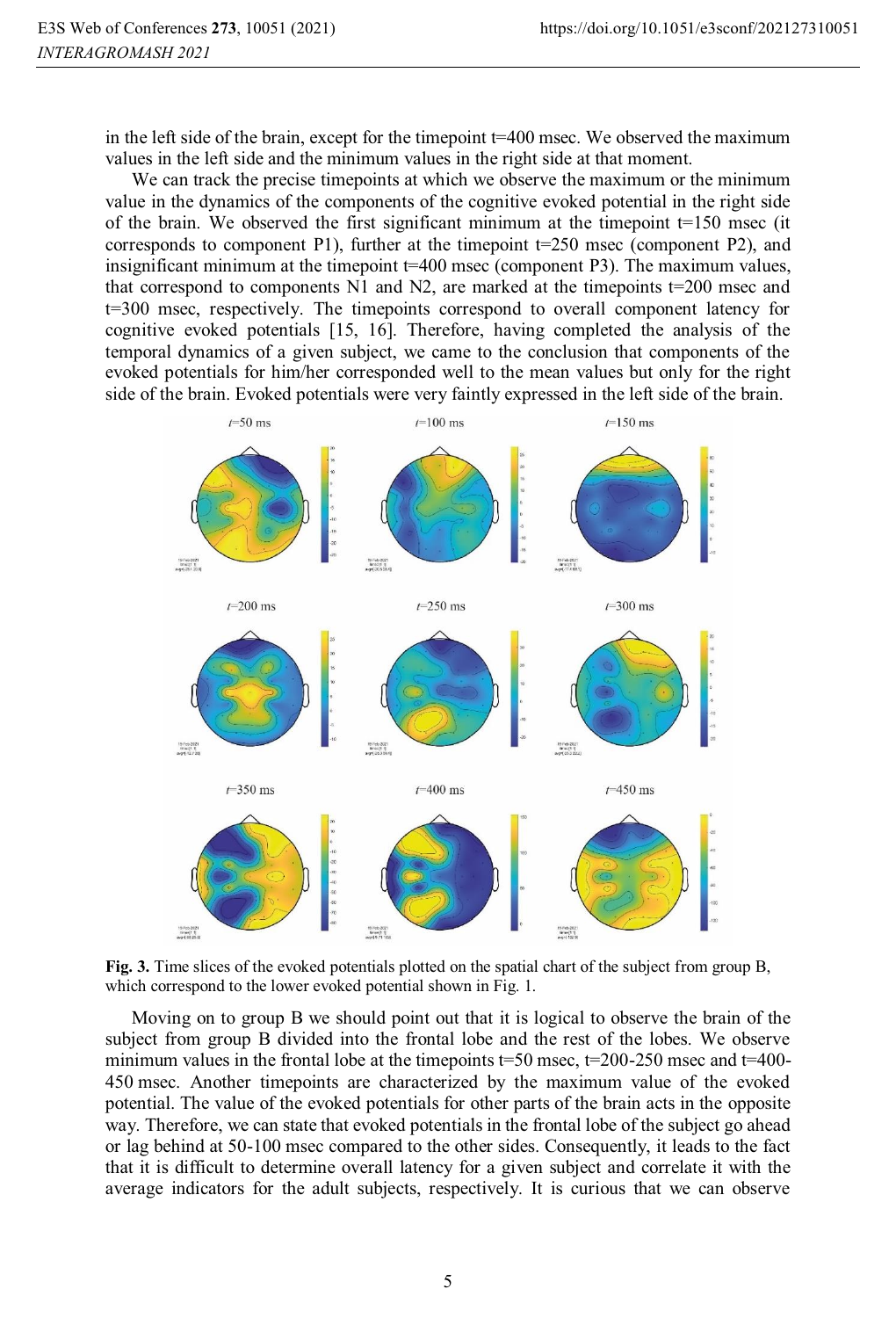in the left side of the brain, except for the timepoint  $t=400$  msec. We observed the maximum values in the left side and the minimum values in the right side at that moment.

We can track the precise timepoints at which we observe the maximum or the minimum value in the dynamics of the components of the cognitive evoked potential in the right side of the brain. We observed the first significant minimum at the timepoint  $t=150$  msec (it corresponds to component Р1), further at the timepoint t=250 msec (component Р2), and insignificant minimum at the timepoint t=400 msec (component P3). The maximum values, that correspond to components  $N1$  and  $N2$ , are marked at the timepoints t=200 msec and t=300 msec, respectively. The timepoints correspond to overall component latency for cognitive evoked potentials [15, 16]. Therefore, having completed the analysis of the temporal dynamics of a given subject, we came to the conclusion that components of the evoked potentials for him/her corresponded well to the mean values but only for the right side of the brain. Evoked potentials were very faintly expressed in the left side of the brain.



**Fig. 3.** Time slices of the evoked potentials plotted on the spatial chart of the subject from group B, which correspond to the lower evoked potential shown in Fig. 1.

Moving on to group B we should point out that it is logical to observe the brain of the subject from group B divided into the frontal lobe and the rest of the lobes. We observe minimum values in the frontal lobe at the timepoints t=50 msec, t=200-250 msec and t=400-450 msec. Another timepoints are characterized by the maximum value of the evoked potential. The value of the evoked potentials for other parts of the brain acts in the opposite way. Therefore, we can state that evoked potentials in the frontal lobe of the subject go ahead or lag behind at 50-100 msec compared to the other sides. Consequently, it leads to the fact that it is difficult to determine overall latency for a given subject and correlate it with the average indicators for the adult subjects, respectively. It is curious that we can observe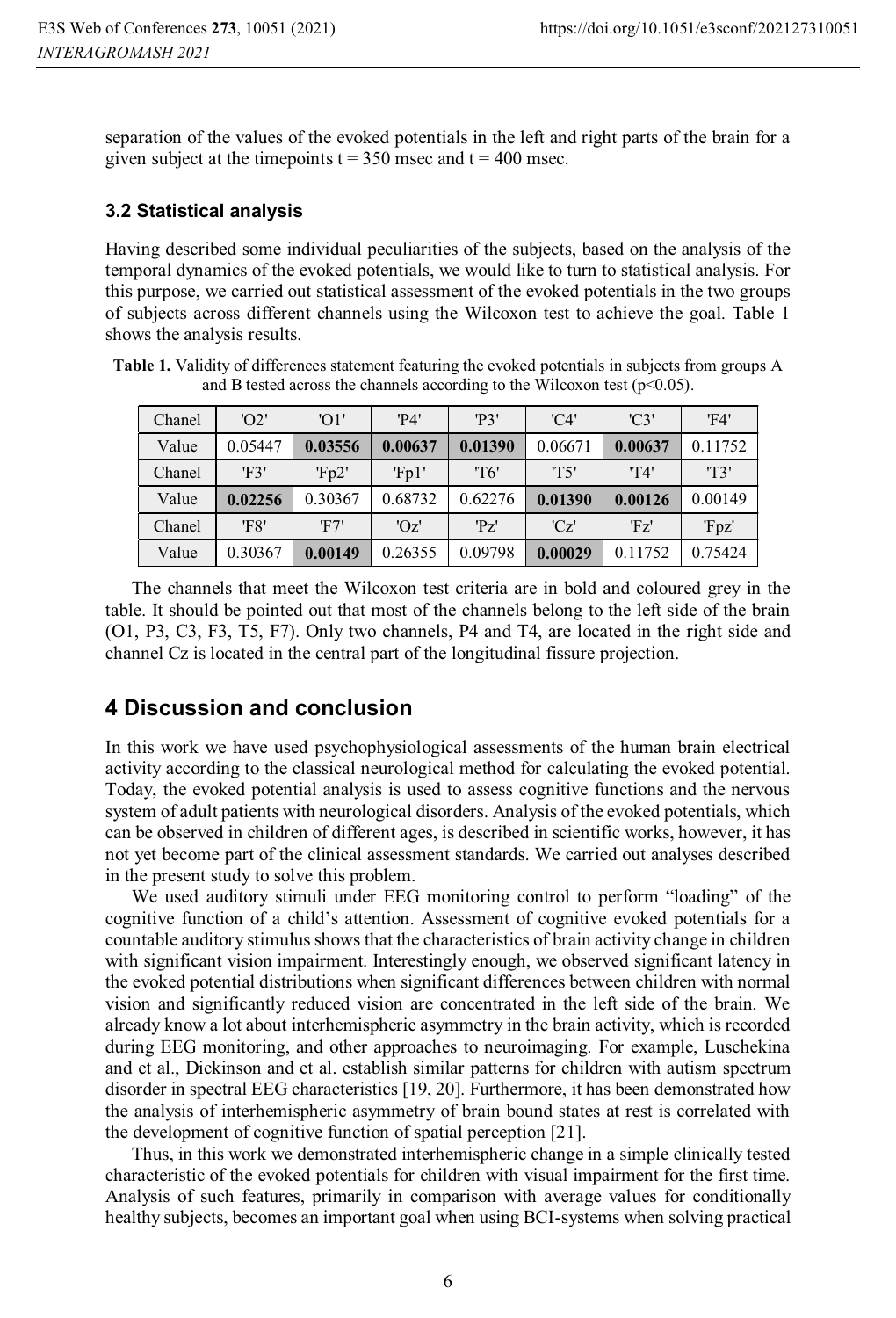separation of the values of the evoked potentials in the left and right parts of the brain for a given subject at the timepoints  $t = 350$  msec and  $t = 400$  msec.

### **3.2 Statistical analysis**

Having described some individual peculiarities of the subjects, based on the analysis of the temporal dynamics of the evoked potentials, we would like to turn to statistical analysis. For this purpose, we carried out statistical assessment of the evoked potentials in the two groups of subjects across different channels using the Wilcoxon test to achieve the goal. Table 1 shows the analysis results.

**Table 1.** Validity of differences statement featuring the evoked potentials in subjects from groups A and B tested across the channels according to the Wilcoxon test  $(p<0.05)$ .

| Chanel | 'O2'    | 'O1'    | 'P4'    | 'P3'    | $'$ C $4'$ | $'$ C <sup>3</sup> | 'F4'         |
|--------|---------|---------|---------|---------|------------|--------------------|--------------|
| Value  | 0.05447 | 0.03556 | 0.00637 | 0.01390 | 0.06671    | 0.00637            | 0.11752      |
| Chanel | 'F3'    | Fp2'    | Fp1'    | 'T6'    | 'T5'       | 'T4'               | <b>'T'3'</b> |
| Value  | 0.02256 | 0.30367 | 0.68732 | 0.62276 | 0.01390    | 0.00126            | 0.00149      |
| Chanel | 'F8'    | 'F7'    | 'Oz'    | 'Pz'    | 'Cz'       | 'Fz'               | 'Fpz'        |
| Value  | 0.30367 | 0.00149 | 0.26355 | 0.09798 | 0.00029    | 0.11752            | 0.75424      |
|        |         |         |         |         |            |                    |              |

The channels that meet the Wilcoxon test criteria are in bold and coloured grey in the table. It should be pointed out that most of the channels belong to the left side of the brain (O1, P3, C3, F3, T5, F7). Only two channels, P4 and T4, are located in the right side and channel Cz is located in the central part of the longitudinal fissure projection.

## **4 Discussion and conclusion**

In this work we have used psychophysiological assessments of the human brain electrical activity according to the classical neurological method for calculating the evoked potential. Today, the evoked potential analysis is used to assess cognitive functions and the nervous system of adult patients with neurological disorders. Analysis of the evoked potentials, which can be observed in children of different ages, is described in scientific works, however, it has not yet become part of the clinical assessment standards. We carried out analyses described in the present study to solve this problem.

We used auditory stimuli under EEG monitoring control to perform "loading" of the cognitive function of a child's attention. Assessment of cognitive evoked potentials for a countable auditory stimulus shows that the characteristics of brain activity change in children with significant vision impairment. Interestingly enough, we observed significant latency in the evoked potential distributions when significant differences between children with normal vision and significantly reduced vision are concentrated in the left side of the brain. We already know a lot about interhemispheric asymmetry in the brain activity, which is recorded during EEG monitoring, and other approaches to neuroimaging. For example, Luschekina and et al., Dickinson and et al. establish similar patterns for children with autism spectrum disorder in spectral EEG characteristics [19, 20]. Furthermore, it has been demonstrated how the analysis of interhemispheric asymmetry of brain bound states at rest is correlated with the development of cognitive function of spatial perception [21].

Thus, in this work we demonstrated interhemispheric change in a simple clinically tested characteristic of the evoked potentials for children with visual impairment for the first time. Analysis of such features, primarily in comparison with average values for conditionally healthy subjects, becomes an important goal when using BCI-systems when solving practical